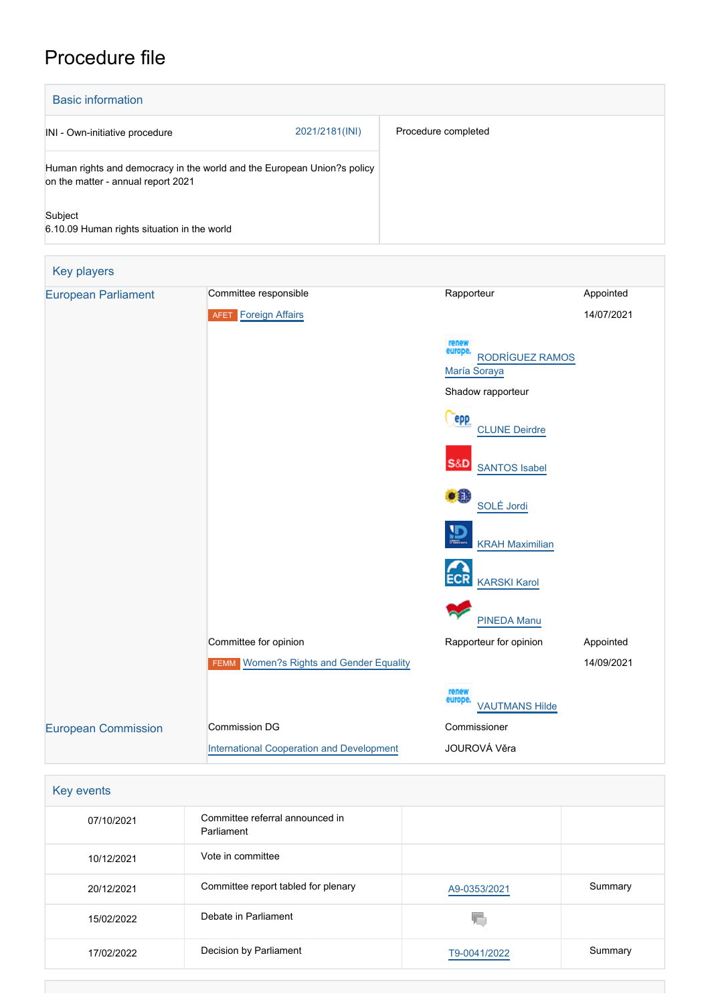# Procedure file

| <b>Basic information</b>                                                                                      |                |                     |
|---------------------------------------------------------------------------------------------------------------|----------------|---------------------|
| INI - Own-initiative procedure                                                                                | 2021/2181(INI) | Procedure completed |
| Human rights and democracy in the world and the European Union?s policy<br>on the matter - annual report 2021 |                |                     |
| Subject<br>6.10.09 Human rights situation in the world                                                        |                |                     |

| <b>Key players</b>         |                                                  |                                                     |            |
|----------------------------|--------------------------------------------------|-----------------------------------------------------|------------|
| <b>European Parliament</b> | Committee responsible                            | Rapporteur                                          | Appointed  |
|                            | <b>Foreign Affairs</b><br><b>AFET</b>            |                                                     | 14/07/2021 |
|                            |                                                  | renew<br>europe.<br>RODRÍGUEZ RAMOS<br>María Soraya |            |
|                            |                                                  | Shadow rapporteur                                   |            |
|                            |                                                  | epp<br><b>CLUNE Deirdre</b>                         |            |
|                            |                                                  | <b>S&amp;D</b><br><b>SANTOS Isabel</b>              |            |
|                            |                                                  | $\bullet$ $\bullet$<br>SOLÉ Jordi                   |            |
|                            |                                                  | Щ<br><b>KRAH Maximilian</b>                         |            |
|                            |                                                  | <b>ECR</b><br><b>KARSKI Karol</b>                   |            |
|                            |                                                  | <b>PINEDA Manu</b>                                  |            |
|                            | Committee for opinion                            | Rapporteur for opinion                              | Appointed  |
|                            | FEMM Women?s Rights and Gender Equality          |                                                     | 14/09/2021 |
|                            |                                                  | renew<br>europe<br><b>VAUTMANS Hilde</b>            |            |
| <b>European Commission</b> | <b>Commission DG</b>                             | Commissioner                                        |            |
|                            | <b>International Cooperation and Development</b> | JOUROVÁ Věra                                        |            |

| Key events |                                               |              |         |  |
|------------|-----------------------------------------------|--------------|---------|--|
| 07/10/2021 | Committee referral announced in<br>Parliament |              |         |  |
| 10/12/2021 | Vote in committee                             |              |         |  |
| 20/12/2021 | Committee report tabled for plenary           | A9-0353/2021 | Summary |  |
| 15/02/2022 | Debate in Parliament                          |              |         |  |
| 17/02/2022 | Decision by Parliament                        | T9-0041/2022 | Summary |  |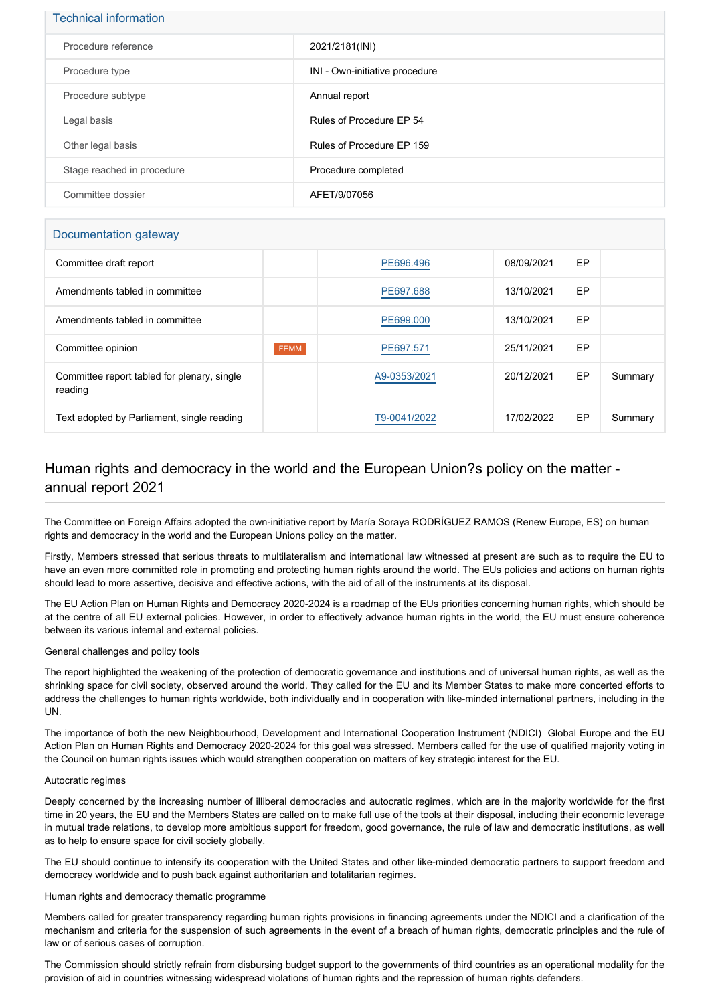# Technical information

| Procedure reference        | 2021/2181(INI)                 |
|----------------------------|--------------------------------|
| Procedure type             | INI - Own-initiative procedure |
| Procedure subtype          | Annual report                  |
| Legal basis                | Rules of Procedure EP 54       |
| Other legal basis          | Rules of Procedure EP 159      |
| Stage reached in procedure | Procedure completed            |
| Committee dossier          | AFET/9/07056                   |

# Documentation gateway

| Committee draft report                                 |             | PE696.496    | 08/09/2021 | EP |         |
|--------------------------------------------------------|-------------|--------------|------------|----|---------|
| Amendments tabled in committee                         |             | PE697.688    | 13/10/2021 | EP |         |
| Amendments tabled in committee                         |             | PE699,000    | 13/10/2021 | EP |         |
| Committee opinion                                      | <b>FEMM</b> | PE697.571    | 25/11/2021 | EP |         |
| Committee report tabled for plenary, single<br>reading |             | A9-0353/2021 | 20/12/2021 | EP | Summary |
| Text adopted by Parliament, single reading             |             | T9-0041/2022 | 17/02/2022 | EP | Summary |

# Human rights and democracy in the world and the European Union?s policy on the matter annual report 2021

The Committee on Foreign Affairs adopted the own-initiative report by María Soraya RODRÍGUEZ RAMOS (Renew Europe, ES) on human rights and democracy in the world and the European Unions policy on the matter.

Firstly, Members stressed that serious threats to multilateralism and international law witnessed at present are such as to require the EU to have an even more committed role in promoting and protecting human rights around the world. The EUs policies and actions on human rights should lead to more assertive, decisive and effective actions, with the aid of all of the instruments at its disposal.

The EU Action Plan on Human Rights and Democracy 2020-2024 is a roadmap of the EUs priorities concerning human rights, which should be at the centre of all EU external policies. However, in order to effectively advance human rights in the world, the EU must ensure coherence between its various internal and external policies.

## General challenges and policy tools

The report highlighted the weakening of the protection of democratic governance and institutions and of universal human rights, as well as the shrinking space for civil society, observed around the world. They called for the EU and its Member States to make more concerted efforts to address the challenges to human rights worldwide, both individually and in cooperation with like-minded international partners, including in the UN.

The importance of both the new Neighbourhood, Development and International Cooperation Instrument (NDICI) Global Europe and the EU Action Plan on Human Rights and Democracy 2020-2024 for this goal was stressed. Members called for the use of qualified majority voting in the Council on human rights issues which would strengthen cooperation on matters of key strategic interest for the EU.

#### Autocratic regimes

Deeply concerned by the increasing number of illiberal democracies and autocratic regimes, which are in the majority worldwide for the first time in 20 years, the EU and the Members States are called on to make full use of the tools at their disposal, including their economic leverage in mutual trade relations, to develop more ambitious support for freedom, good governance, the rule of law and democratic institutions, as well as to help to ensure space for civil society globally.

The EU should continue to intensify its cooperation with the United States and other like-minded democratic partners to support freedom and democracy worldwide and to push back against authoritarian and totalitarian regimes.

Human rights and democracy thematic programme

Members called for greater transparency regarding human rights provisions in financing agreements under the NDICI and a clarification of the mechanism and criteria for the suspension of such agreements in the event of a breach of human rights, democratic principles and the rule of law or of serious cases of corruption.

The Commission should strictly refrain from disbursing budget support to the governments of third countries as an operational modality for the provision of aid in countries witnessing widespread violations of human rights and the repression of human rights defenders.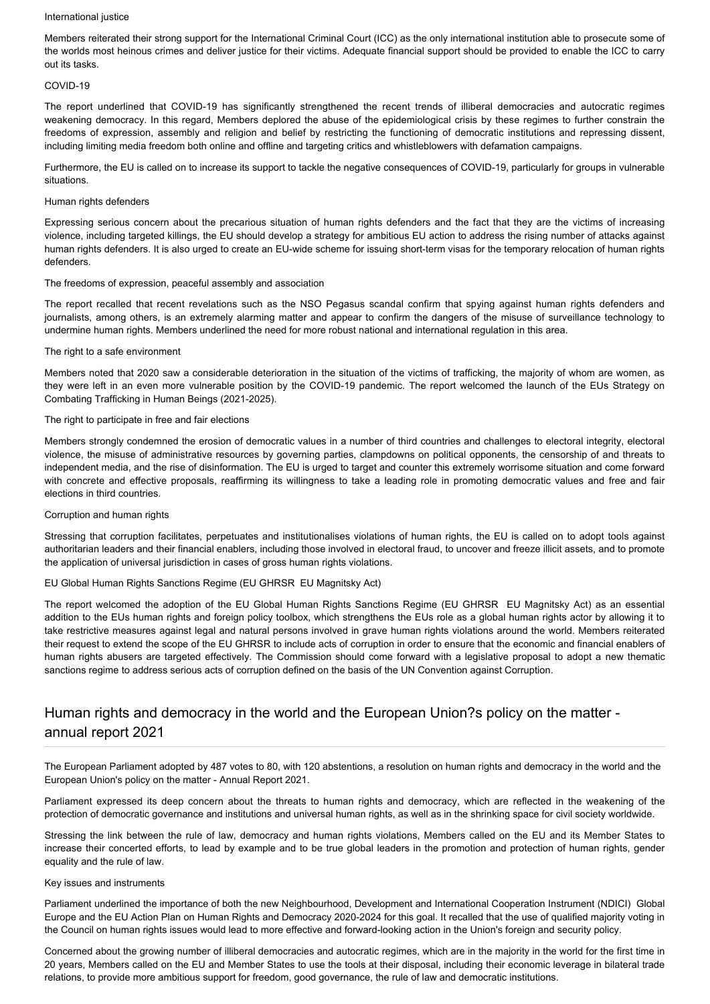#### International justice

Members reiterated their strong support for the International Criminal Court (ICC) as the only international institution able to prosecute some of the worlds most heinous crimes and deliver justice for their victims. Adequate financial support should be provided to enable the ICC to carry out its tasks.

#### COVID-19

The report underlined that COVID-19 has significantly strengthened the recent trends of illiberal democracies and autocratic regimes weakening democracy. In this regard, Members deplored the abuse of the epidemiological crisis by these regimes to further constrain the freedoms of expression, assembly and religion and belief by restricting the functioning of democratic institutions and repressing dissent, including limiting media freedom both online and offline and targeting critics and whistleblowers with defamation campaigns.

Furthermore, the EU is called on to increase its support to tackle the negative consequences of COVID-19, particularly for groups in vulnerable situations.

### Human rights defenders

Expressing serious concern about the precarious situation of human rights defenders and the fact that they are the victims of increasing violence, including targeted killings, the EU should develop a strategy for ambitious EU action to address the rising number of attacks against human rights defenders. It is also urged to create an EU-wide scheme for issuing short-term visas for the temporary relocation of human rights defenders.

#### The freedoms of expression, peaceful assembly and association

The report recalled that recent revelations such as the NSO Pegasus scandal confirm that spying against human rights defenders and journalists, among others, is an extremely alarming matter and appear to confirm the dangers of the misuse of surveillance technology to undermine human rights. Members underlined the need for more robust national and international regulation in this area.

#### The right to a safe environment

Members noted that 2020 saw a considerable deterioration in the situation of the victims of trafficking, the majority of whom are women, as they were left in an even more vulnerable position by the COVID-19 pandemic. The report welcomed the launch of the EUs Strategy on Combating Trafficking in Human Beings (2021-2025).

#### The right to participate in free and fair elections

Members strongly condemned the erosion of democratic values in a number of third countries and challenges to electoral integrity, electoral violence, the misuse of administrative resources by governing parties, clampdowns on political opponents, the censorship of and threats to independent media, and the rise of disinformation. The EU is urged to target and counter this extremely worrisome situation and come forward with concrete and effective proposals, reaffirming its willingness to take a leading role in promoting democratic values and free and fair elections in third countries.

#### Corruption and human rights

Stressing that corruption facilitates, perpetuates and institutionalises violations of human rights, the EU is called on to adopt tools against authoritarian leaders and their financial enablers, including those involved in electoral fraud, to uncover and freeze illicit assets, and to promote the application of universal jurisdiction in cases of gross human rights violations.

## EU Global Human Rights Sanctions Regime (EU GHRSR EU Magnitsky Act)

The report welcomed the adoption of the EU Global Human Rights Sanctions Regime (EU GHRSR EU Magnitsky Act) as an essential addition to the EUs human rights and foreign policy toolbox, which strengthens the EUs role as a global human rights actor by allowing it to take restrictive measures against legal and natural persons involved in grave human rights violations around the world. Members reiterated their request to extend the scope of the EU GHRSR to include acts of corruption in order to ensure that the economic and financial enablers of human rights abusers are targeted effectively. The Commission should come forward with a legislative proposal to adopt a new thematic sanctions regime to address serious acts of corruption defined on the basis of the UN Convention against Corruption.

# Human rights and democracy in the world and the European Union?s policy on the matter annual report 2021

The European Parliament adopted by 487 votes to 80, with 120 abstentions, a resolution on human rights and democracy in the world and the European Union's policy on the matter - Annual Report 2021.

Parliament expressed its deep concern about the threats to human rights and democracy, which are reflected in the weakening of the protection of democratic governance and institutions and universal human rights, as well as in the shrinking space for civil society worldwide.

Stressing the link between the rule of law, democracy and human rights violations, Members called on the EU and its Member States to increase their concerted efforts, to lead by example and to be true global leaders in the promotion and protection of human rights, gender equality and the rule of law.

#### Key issues and instruments

Parliament underlined the importance of both the new Neighbourhood, Development and International Cooperation Instrument (NDICI) Global Europe and the EU Action Plan on Human Rights and Democracy 2020-2024 for this goal. It recalled that the use of qualified majority voting in the Council on human rights issues would lead to more effective and forward-looking action in the Union's foreign and security policy.

Concerned about the growing number of illiberal democracies and autocratic regimes, which are in the majority in the world for the first time in 20 years, Members called on the EU and Member States to use the tools at their disposal, including their economic leverage in bilateral trade relations, to provide more ambitious support for freedom, good governance, the rule of law and democratic institutions.